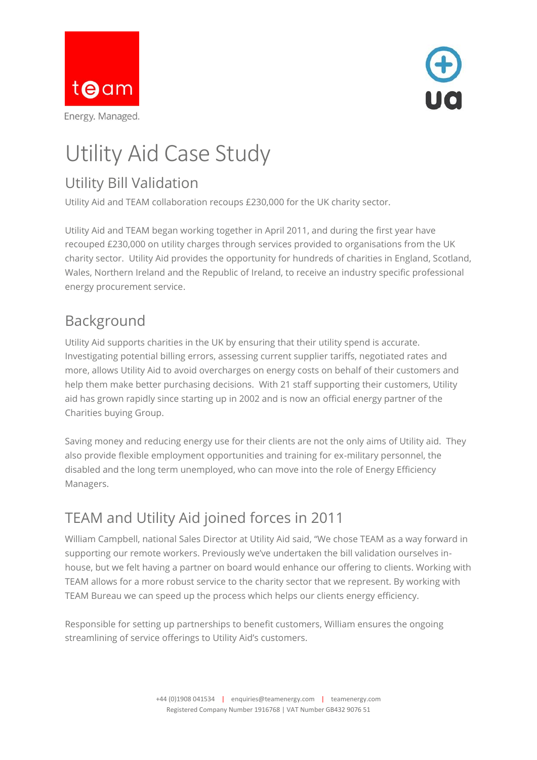



# Utility Aid Case Study

# Utility Bill Validation

Utility Aid and TEAM collaboration recoups £230,000 for the UK charity sector.

Utility Aid and TEAM began working together in April 2011, and during the first year have recouped £230,000 on utility charges through services provided to organisations from the UK charity sector. Utility Aid provides the opportunity for hundreds of charities in England, Scotland, Wales, Northern Ireland and the Republic of Ireland, to receive an industry specific professional energy procurement service.

# Background

Utility Aid supports charities in the UK by ensuring that their utility spend is accurate. Investigating potential billing errors, assessing current supplier tariffs, negotiated rates and more, allows Utility Aid to avoid overcharges on energy costs on behalf of their customers and help them make better purchasing decisions. With 21 staff supporting their customers, Utility aid has grown rapidly since starting up in 2002 and is now an official energy partner of the Charities buying Group.

Saving money and reducing energy use for their clients are not the only aims of Utility aid. They also provide flexible employment opportunities and training for ex-military personnel, the disabled and the long term unemployed, who can move into the role of Energy Efficiency Managers.

# TEAM and Utility Aid joined forces in 2011

William Campbell, national Sales Director at Utility Aid said, "We chose TEAM as a way forward in supporting our remote workers. Previously we've undertaken the bill validation ourselves inhouse, but we felt having a partner on board would enhance our offering to clients. Working with TEAM allows for a more robust service to the charity sector that we represent. By working with TEAM Bureau we can speed up the process which helps our clients energy efficiency.

Responsible for setting up partnerships to benefit customers, William ensures the ongoing streamlining of service offerings to Utility Aid's customers.